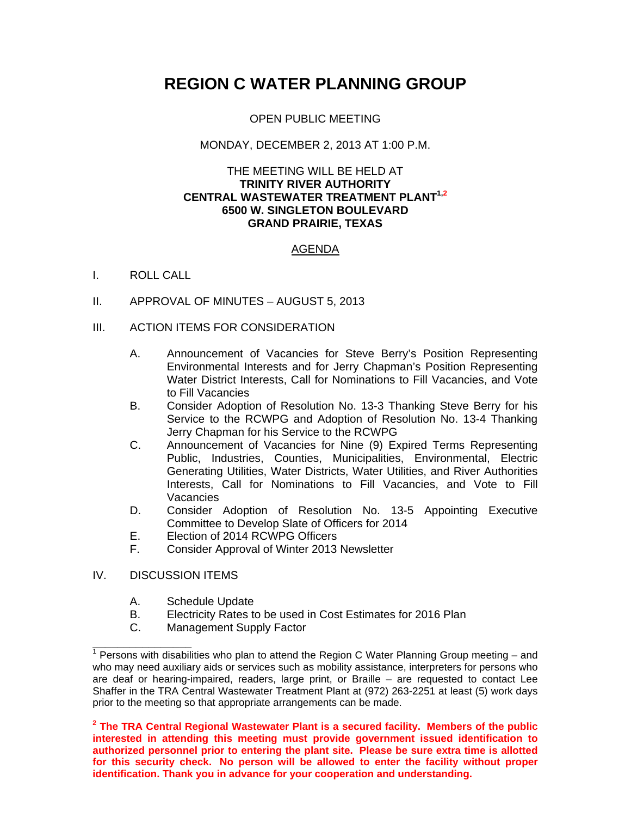# **REGION C WATER PLANNING GROUP**

# OPEN PUBLIC MEETING

## MONDAY, DECEMBER 2, 2013 AT 1:00 P.M.

#### THE MEETING WILL BE HELD AT **TRINITY RIVER AUTHORITY CENTRAL WASTEWATER TREATMENT PLANT1,2 6500 W. SINGLETON BOULEVARD GRAND PRAIRIE, TEXAS**

# AGENDA

## I. ROLL CALL

- II. APPROVAL OF MINUTES AUGUST 5, 2013
- III. ACTION ITEMS FOR CONSIDERATION
	- A. Announcement of Vacancies for Steve Berry's Position Representing Environmental Interests and for Jerry Chapman's Position Representing Water District Interests, Call for Nominations to Fill Vacancies, and Vote to Fill Vacancies
	- B. Consider Adoption of Resolution No. 13-3 Thanking Steve Berry for his Service to the RCWPG and Adoption of Resolution No. 13-4 Thanking Jerry Chapman for his Service to the RCWPG
	- C. Announcement of Vacancies for Nine (9) Expired Terms Representing Public, Industries, Counties, Municipalities, Environmental, Electric Generating Utilities, Water Districts, Water Utilities, and River Authorities Interests, Call for Nominations to Fill Vacancies, and Vote to Fill Vacancies
	- D. Consider Adoption of Resolution No. 13-5 Appointing Executive Committee to Develop Slate of Officers for 2014
	- E. Election of 2014 RCWPG Officers
	- F. Consider Approval of Winter 2013 Newsletter

## IV. DISCUSSION ITEMS

- A. Schedule Update
- B. Electricity Rates to be used in Cost Estimates for 2016 Plan
- C. Management Supply Factor

\_\_\_\_\_\_\_\_\_\_\_\_\_\_\_\_ 1 Persons with disabilities who plan to attend the Region C Water Planning Group meeting – and who may need auxiliary aids or services such as mobility assistance, interpreters for persons who are deaf or hearing-impaired, readers, large print, or Braille – are requested to contact Lee Shaffer in the TRA Central Wastewater Treatment Plant at (972) 263-2251 at least (5) work days prior to the meeting so that appropriate arrangements can be made.

**<sup>2</sup> The TRA Central Regional Wastewater Plant is a secured facility. Members of the public interested in attending this meeting must provide government issued identification to authorized personnel prior to entering the plant site. Please be sure extra time is allotted for this security check. No person will be allowed to enter the facility without proper identification. Thank you in advance for your cooperation and understanding.**